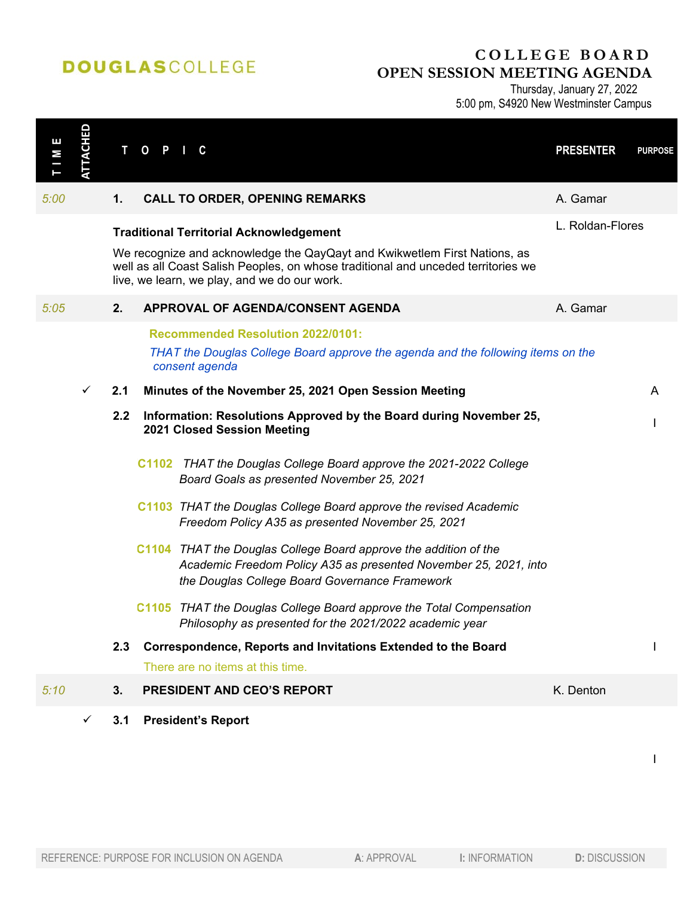## **DOUGLASCOLLEGE**

## **COLLEGE BOARD OPEN SESSION MEETING AGENDA**

Thursday, January 27, 2022 5:00 pm, S4920 New Westminster Campus

| Ш<br>Σ | <b>ATTACHED</b> | т   | $\mathbf{o}$<br>P<br>C                                                                                                                                                                                                                                           | <b>PRESENTER</b> | <b>PURPOSE</b> |
|--------|-----------------|-----|------------------------------------------------------------------------------------------------------------------------------------------------------------------------------------------------------------------------------------------------------------------|------------------|----------------|
| 5:00   |                 | 1.  | <b>CALL TO ORDER, OPENING REMARKS</b>                                                                                                                                                                                                                            | A. Gamar         |                |
|        |                 |     | <b>Traditional Territorial Acknowledgement</b><br>We recognize and acknowledge the QayQayt and Kwikwetlem First Nations, as<br>well as all Coast Salish Peoples, on whose traditional and unceded territories we<br>live, we learn, we play, and we do our work. | L. Roldan-Flores |                |
| 5:05   |                 | 2.  | APPROVAL OF AGENDA/CONSENT AGENDA                                                                                                                                                                                                                                | A. Gamar         |                |
|        |                 |     | <b>Recommended Resolution 2022/0101:</b><br>THAT the Douglas College Board approve the agenda and the following items on the<br>consent agenda                                                                                                                   |                  |                |
|        | $\checkmark$    | 2.1 | Minutes of the November 25, 2021 Open Session Meeting                                                                                                                                                                                                            |                  | A              |
|        |                 | 2.2 | Information: Resolutions Approved by the Board during November 25,<br>2021 Closed Session Meeting                                                                                                                                                                |                  |                |
|        |                 |     | C1102 THAT the Douglas College Board approve the 2021-2022 College<br>Board Goals as presented November 25, 2021                                                                                                                                                 |                  |                |
|        |                 |     | C1103 THAT the Douglas College Board approve the revised Academic<br>Freedom Policy A35 as presented November 25, 2021                                                                                                                                           |                  |                |
|        |                 |     | C1104 THAT the Douglas College Board approve the addition of the<br>Academic Freedom Policy A35 as presented November 25, 2021, into<br>the Douglas College Board Governance Framework                                                                           |                  |                |
|        |                 |     | C1105 THAT the Douglas College Board approve the Total Compensation<br>Philosophy as presented for the 2021/2022 academic year                                                                                                                                   |                  |                |
|        |                 | 2.3 | Correspondence, Reports and Invitations Extended to the Board<br>There are no items at this time.                                                                                                                                                                |                  |                |
| 5:10   |                 | 3.  | PRESIDENT AND CEO'S REPORT                                                                                                                                                                                                                                       | K. Denton        |                |
|        | ✓               | 3.1 | <b>President's Report</b>                                                                                                                                                                                                                                        |                  |                |

I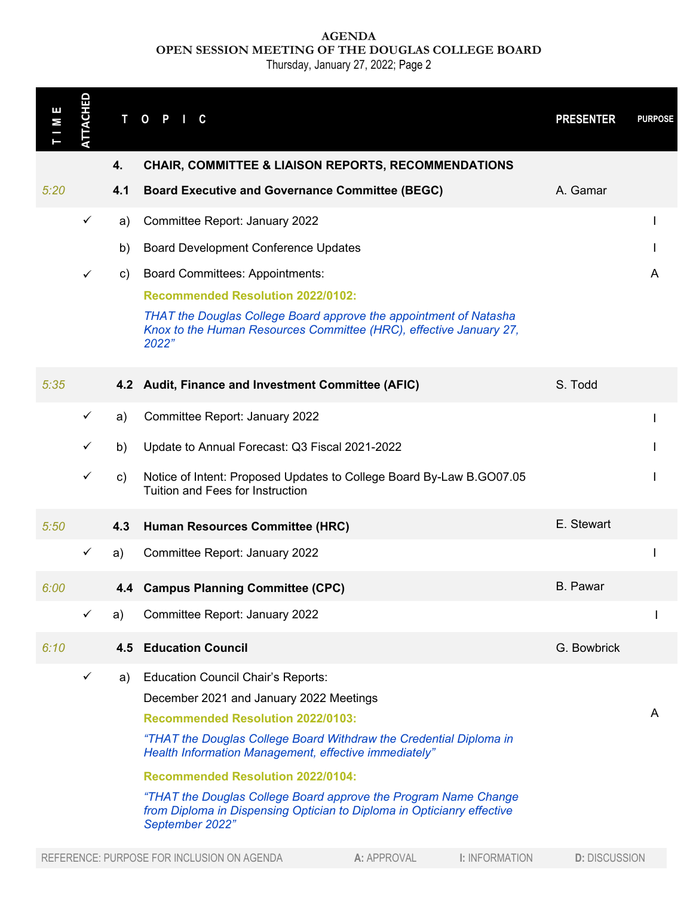**AGENDA OPEN SESSION MEETING OF THE DOUGLAS COLLEGE BOARD**

Thursday, January 27, 2022; Page 2

| Е<br>М                                                                             | <b>TTACHED</b> | $\mathbf{T}$ | $\mathbf{o}$<br>P<br>C                                                                                                                                                                                                                                                                                                                                                                                                                                                      | <b>PRESENTER</b>     | <b>PURPOSE</b> |  |
|------------------------------------------------------------------------------------|----------------|--------------|-----------------------------------------------------------------------------------------------------------------------------------------------------------------------------------------------------------------------------------------------------------------------------------------------------------------------------------------------------------------------------------------------------------------------------------------------------------------------------|----------------------|----------------|--|
|                                                                                    |                | 4.           | <b>CHAIR, COMMITTEE &amp; LIAISON REPORTS, RECOMMENDATIONS</b>                                                                                                                                                                                                                                                                                                                                                                                                              |                      |                |  |
| 5:20                                                                               |                | 4.1          | <b>Board Executive and Governance Committee (BEGC)</b>                                                                                                                                                                                                                                                                                                                                                                                                                      | A. Gamar             |                |  |
|                                                                                    | $\checkmark$   | a)           | Committee Report: January 2022                                                                                                                                                                                                                                                                                                                                                                                                                                              |                      |                |  |
|                                                                                    |                | b)           | <b>Board Development Conference Updates</b>                                                                                                                                                                                                                                                                                                                                                                                                                                 |                      |                |  |
|                                                                                    | $\checkmark$   | C)           | <b>Board Committees: Appointments:</b>                                                                                                                                                                                                                                                                                                                                                                                                                                      |                      | A              |  |
|                                                                                    |                |              | <b>Recommended Resolution 2022/0102:</b>                                                                                                                                                                                                                                                                                                                                                                                                                                    |                      |                |  |
|                                                                                    |                |              | THAT the Douglas College Board approve the appointment of Natasha<br>Knox to the Human Resources Committee (HRC), effective January 27,<br>2022"                                                                                                                                                                                                                                                                                                                            |                      |                |  |
| 5:35                                                                               |                |              | 4.2 Audit, Finance and Investment Committee (AFIC)                                                                                                                                                                                                                                                                                                                                                                                                                          | S. Todd              |                |  |
|                                                                                    | $\checkmark$   | a)           | Committee Report: January 2022                                                                                                                                                                                                                                                                                                                                                                                                                                              |                      |                |  |
|                                                                                    | ✓              | b)           | Update to Annual Forecast: Q3 Fiscal 2021-2022                                                                                                                                                                                                                                                                                                                                                                                                                              |                      |                |  |
|                                                                                    | $\checkmark$   | c)           | Notice of Intent: Proposed Updates to College Board By-Law B.GO07.05<br>Tuition and Fees for Instruction                                                                                                                                                                                                                                                                                                                                                                    |                      |                |  |
| 5:50                                                                               |                | 4.3          | Human Resources Committee (HRC)                                                                                                                                                                                                                                                                                                                                                                                                                                             | E. Stewart           |                |  |
|                                                                                    | $\checkmark$   | a)           | Committee Report: January 2022                                                                                                                                                                                                                                                                                                                                                                                                                                              |                      |                |  |
| 6:00                                                                               |                |              | 4.4 Campus Planning Committee (CPC)                                                                                                                                                                                                                                                                                                                                                                                                                                         | <b>B.</b> Pawar      |                |  |
|                                                                                    | $\checkmark$   | a)           | Committee Report: January 2022                                                                                                                                                                                                                                                                                                                                                                                                                                              |                      |                |  |
| 6:10                                                                               |                | 4.5          | <b>Education Council</b>                                                                                                                                                                                                                                                                                                                                                                                                                                                    | G. Bowbrick          |                |  |
|                                                                                    | $\checkmark$   | a)           | <b>Education Council Chair's Reports:</b><br>December 2021 and January 2022 Meetings<br><b>Recommended Resolution 2022/0103:</b><br>"THAT the Douglas College Board Withdraw the Credential Diploma in<br>Health Information Management, effective immediately"<br><b>Recommended Resolution 2022/0104:</b><br>"THAT the Douglas College Board approve the Program Name Change<br>from Diploma in Dispensing Optician to Diploma in Opticianry effective<br>September 2022" |                      |                |  |
| REFERENCE: PURPOSE FOR INCLUSION ON AGENDA<br>A: APPROVAL<br><b>I: INFORMATION</b> |                |              |                                                                                                                                                                                                                                                                                                                                                                                                                                                                             | <b>D: DISCUSSION</b> |                |  |